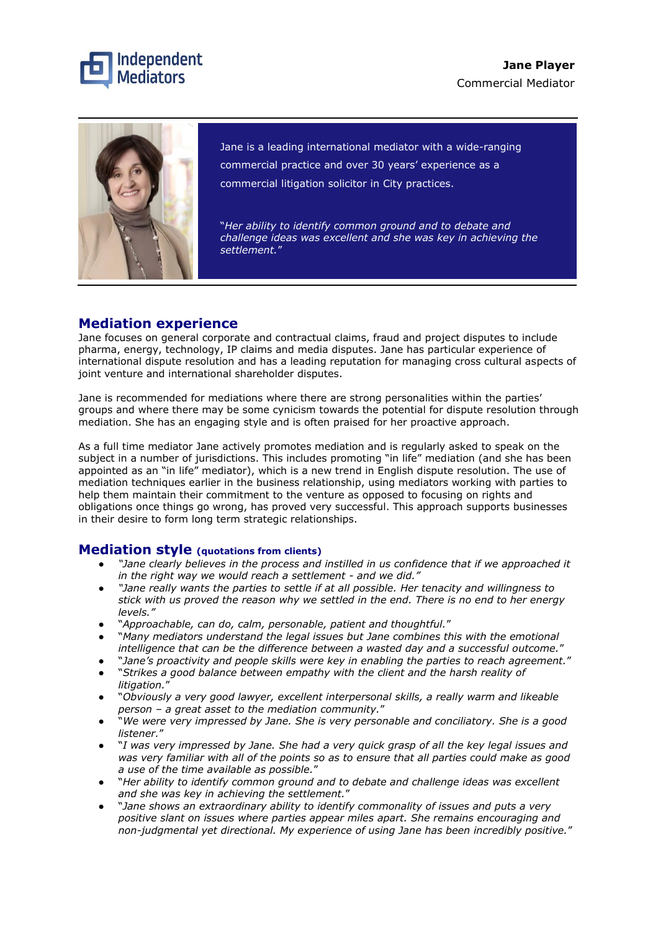



Jane is a leading international mediator with a wide-ranging commercial practice and over 30 years' experience as a commercial litigation solicitor in City practices.

"*Her ability to identify common ground and to debate and challenge ideas was excellent and she was key in achieving the settlement.*"

### **Mediation experience**

Jane focuses on general corporate and contractual claims, fraud and project disputes to include pharma, energy, technology, IP claims and media disputes. Jane has particular experience of international dispute resolution and has a leading reputation for managing cross cultural aspects of joint venture and international shareholder disputes.

Jane is recommended for mediations where there are strong personalities within the parties' groups and where there may be some cynicism towards the potential for dispute resolution through mediation. She has an engaging style and is often praised for her proactive approach.

As a full time mediator Jane actively promotes mediation and is regularly asked to speak on the subject in a number of jurisdictions. This includes promoting "in life" mediation (and she has been appointed as an "in life" mediator), which is a new trend in English dispute resolution. The use of mediation techniques earlier in the business relationship, using mediators working with parties to help them maintain their commitment to the venture as opposed to focusing on rights and obligations once things go wrong, has proved very successful. This approach supports businesses in their desire to form long term strategic relationships.

### **Mediation style (quotations from clients)**

- "Jane clearly believes in the process and instilled in us confidence that if we approached it *in the right way we would reach a settlement - and we did."*
- *"Jane really wants the parties to settle if at all possible. Her tenacity and willingness to stick with us proved the reason why we settled in the end. There is no end to her energy levels."*
- "*Approachable, can do, calm, personable, patient and thoughtful.*"
- "*Many mediators understand the legal issues but Jane combines this with the emotional intelligence that can be the difference between a wasted day and a successful outcome.*"
- "*Jane's proactivity and people skills were key in enabling the parties to reach agreement.*"
- "*Strikes a good balance between empathy with the client and the harsh reality of litigation.*"
- "*Obviously a very good lawyer, excellent interpersonal skills, a really warm and likeable person – a great asset to the mediation community.*"
- "*We were very impressed by Jane. She is very personable and conciliatory. She is a good listener.*"
- "*I was very impressed by Jane. She had a very quick grasp of all the key legal issues and was very familiar with all of the points so as to ensure that all parties could make as good a use of the time available as possible.*"
- "*Her ability to identify common ground and to debate and challenge ideas was excellent and she was key in achieving the settlement.*"
- "*Jane shows an extraordinary ability to identify commonality of issues and puts a very positive slant on issues where parties appear miles apart. She remains encouraging and non-judgmental yet directional. My experience of using Jane has been incredibly positive.*"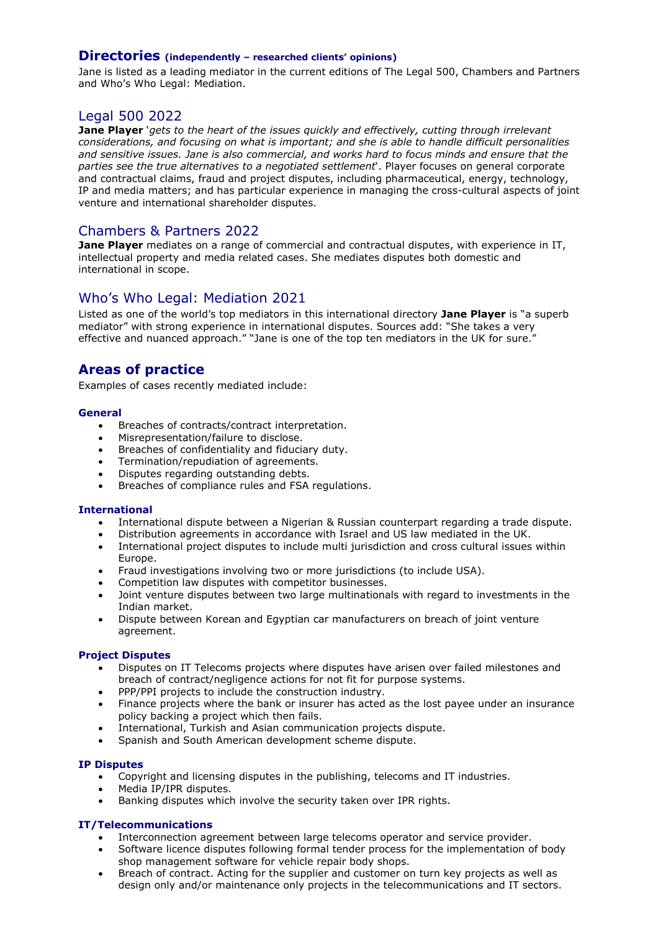### **Directories (independently – researched clients' opinions)**

Jane is listed as a leading mediator in the current editions of The Legal 500, Chambers and Partners and Who's Who Legal: Mediation.

### Legal 500 2022

**Jane Player** '*gets to the heart of the issues quickly and effectively, cutting through irrelevant considerations, and focusing on what is important; and she is able to handle difficult personalities and sensitive issues. Jane is also commercial, and works hard to focus minds and ensure that the parties see the true alternatives to a negotiated settlement*'. Player focuses on general corporate and contractual claims, fraud and project disputes, including pharmaceutical, energy, technology, IP and media matters; and has particular experience in managing the cross-cultural aspects of joint venture and international shareholder disputes.

### Chambers & Partners 2022

**Jane Player** mediates on a range of commercial and contractual disputes, with experience in IT, intellectual property and media related cases. She mediates disputes both domestic and international in scope.

## Who's Who Legal: Mediation 2021

Listed as one of the world's top mediators in this international directory **Jane Player** is "a superb mediator" with strong experience in international disputes. Sources add: "She takes a very effective and nuanced approach." "Jane is one of the top ten mediators in the UK for sure."

# **Areas of practice**

Examples of cases recently mediated include:

#### **General**

- Breaches of contracts/contract interpretation.
- Misrepresentation/failure to disclose.
- Breaches of confidentiality and fiduciary duty.
- Termination/repudiation of agreements.
- Disputes regarding outstanding debts.
- Breaches of compliance rules and FSA regulations.

#### **International**

- International dispute between a Nigerian & Russian counterpart regarding a trade dispute.
- Distribution agreements in accordance with Israel and US law mediated in the UK.
- International project disputes to include multi jurisdiction and cross cultural issues within Europe.
- Fraud investigations involving two or more jurisdictions (to include USA).
- Competition law disputes with competitor businesses.
- Joint venture disputes between two large multinationals with regard to investments in the Indian market.
- Dispute between Korean and Egyptian car manufacturers on breach of joint venture agreement.

#### **Project Disputes**

- Disputes on IT Telecoms projects where disputes have arisen over failed milestones and breach of contract/negligence actions for not fit for purpose systems.
- PPP/PPI projects to include the construction industry.
- Finance projects where the bank or insurer has acted as the lost payee under an insurance policy backing a project which then fails.
- International, Turkish and Asian communication projects dispute.
- Spanish and South American development scheme dispute.

#### **IP Disputes**

- Copyright and licensing disputes in the publishing, telecoms and IT industries.
- Media IP/IPR disputes.
- Banking disputes which involve the security taken over IPR rights.

#### **IT/Telecommunications**

- Interconnection agreement between large telecoms operator and service provider.
- Software licence disputes following formal tender process for the implementation of body shop management software for vehicle repair body shops.
- Breach of contract. Acting for the supplier and customer on turn key projects as well as design only and/or maintenance only projects in the telecommunications and IT sectors.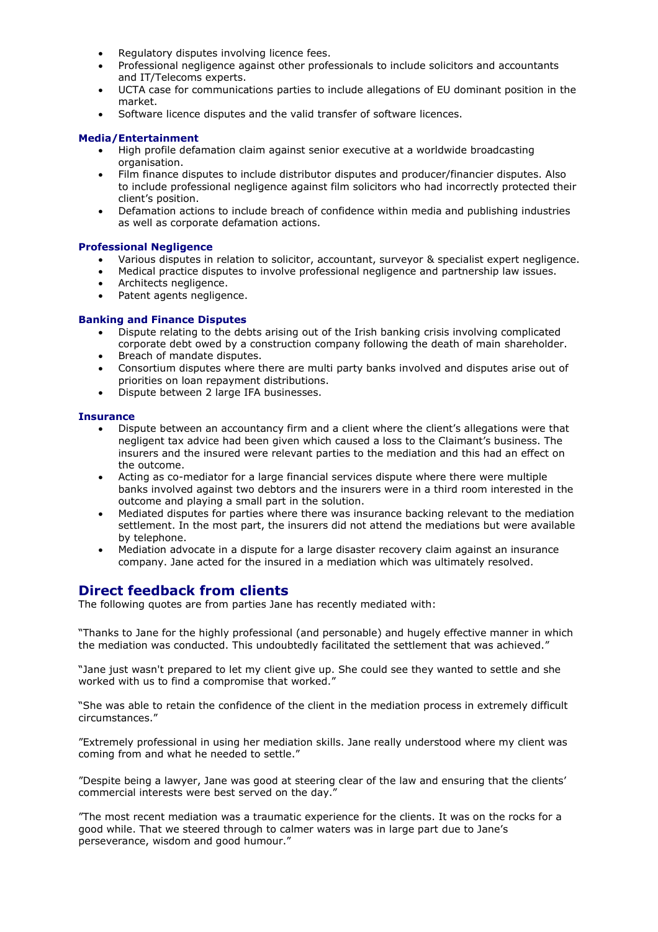- Regulatory disputes involving licence fees.
- Professional negligence against other professionals to include solicitors and accountants and IT/Telecoms experts.
- UCTA case for communications parties to include allegations of EU dominant position in the market.
- Software licence disputes and the valid transfer of software licences.

#### **Media/Entertainment**

- High profile defamation claim against senior executive at a worldwide broadcasting organisation.
- Film finance disputes to include distributor disputes and producer/financier disputes. Also to include professional negligence against film solicitors who had incorrectly protected their client's position.
- Defamation actions to include breach of confidence within media and publishing industries as well as corporate defamation actions.

#### **Professional Negligence**

- Various disputes in relation to solicitor, accountant, surveyor & specialist expert negligence.
- Medical practice disputes to involve professional negligence and partnership law issues.
- Architects negligence.
- Patent agents negligence.

#### **Banking and Finance Disputes**

- Dispute relating to the debts arising out of the Irish banking crisis involving complicated corporate debt owed by a construction company following the death of main shareholder.
- Breach of mandate disputes.
- Consortium disputes where there are multi party banks involved and disputes arise out of priorities on loan repayment distributions.
- Dispute between 2 large IFA businesses.

#### **Insurance**

- Dispute between an accountancy firm and a client where the client's allegations were that negligent tax advice had been given which caused a loss to the Claimant's business. The insurers and the insured were relevant parties to the mediation and this had an effect on the outcome.
- Acting as co-mediator for a large financial services dispute where there were multiple banks involved against two debtors and the insurers were in a third room interested in the outcome and playing a small part in the solution.
- Mediated disputes for parties where there was insurance backing relevant to the mediation settlement. In the most part, the insurers did not attend the mediations but were available by telephone.
- Mediation advocate in a dispute for a large disaster recovery claim against an insurance company. Jane acted for the insured in a mediation which was ultimately resolved.

### **Direct feedback from clients**

The following quotes are from parties Jane has recently mediated with:

"Thanks to Jane for the highly professional (and personable) and hugely effective manner in which the mediation was conducted. This undoubtedly facilitated the settlement that was achieved."

"Jane just wasn't prepared to let my client give up. She could see they wanted to settle and she worked with us to find a compromise that worked."

"She was able to retain the confidence of the client in the mediation process in extremely difficult circumstances."

"Extremely professional in using her mediation skills. Jane really understood where my client was coming from and what he needed to settle."

"Despite being a lawyer, Jane was good at steering clear of the law and ensuring that the clients' commercial interests were best served on the day."

"The most recent mediation was a traumatic experience for the clients. It was on the rocks for a good while. That we steered through to calmer waters was in large part due to Jane's perseverance, wisdom and good humour."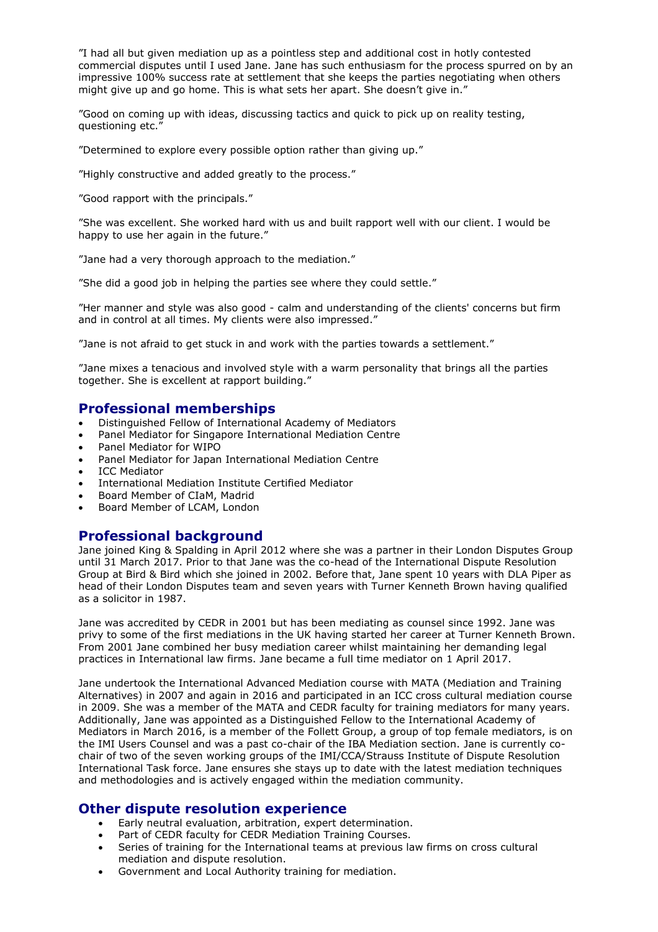"I had all but given mediation up as a pointless step and additional cost in hotly contested commercial disputes until I used Jane. Jane has such enthusiasm for the process spurred on by an impressive 100% success rate at settlement that she keeps the parties negotiating when others might give up and go home. This is what sets her apart. She doesn't give in."

"Good on coming up with ideas, discussing tactics and quick to pick up on reality testing, questioning etc."

"Determined to explore every possible option rather than giving up."

"Highly constructive and added greatly to the process."

"Good rapport with the principals."

"She was excellent. She worked hard with us and built rapport well with our client. I would be happy to use her again in the future."

"Jane had a very thorough approach to the mediation."

"She did a good job in helping the parties see where they could settle."

"Her manner and style was also good - calm and understanding of the clients' concerns but firm and in control at all times. My clients were also impressed."

"Jane is not afraid to get stuck in and work with the parties towards a settlement."

"Jane mixes a tenacious and involved style with a warm personality that brings all the parties together. She is excellent at rapport building."

### **Professional memberships**

- Distinguished Fellow of International Academy of Mediators
- Panel Mediator for Singapore International Mediation Centre
- Panel Mediator for WIPO
- Panel Mediator for Japan International Mediation Centre
- **ICC Mediator**
- International Mediation Institute Certified Mediator
- Board Member of CIaM, Madrid
- Board Member of LCAM, London

## **Professional background**

Jane joined King & Spalding in April 2012 where she was a partner in their London Disputes Group until 31 March 2017. Prior to that Jane was the co-head of the International Dispute Resolution Group at Bird & Bird which she joined in 2002. Before that, Jane spent 10 years with DLA Piper as head of their London Disputes team and seven years with Turner Kenneth Brown having qualified as a solicitor in 1987.

Jane was accredited by CEDR in 2001 but has been mediating as counsel since 1992. Jane was privy to some of the first mediations in the UK having started her career at Turner Kenneth Brown. From 2001 Jane combined her busy mediation career whilst maintaining her demanding legal practices in International law firms. Jane became a full time mediator on 1 April 2017.

Jane undertook the International Advanced Mediation course with MATA (Mediation and Training Alternatives) in 2007 and again in 2016 and participated in an ICC cross cultural mediation course in 2009. She was a member of the MATA and CEDR faculty for training mediators for many years. Additionally, Jane was appointed as a Distinguished Fellow to the International Academy of Mediators in March 2016, is a member of the Follett Group, a group of top female mediators, is on the IMI Users Counsel and was a past co-chair of the IBA Mediation section. Jane is currently cochair of two of the seven working groups of the IMI/CCA/Strauss Institute of Dispute Resolution International Task force. Jane ensures she stays up to date with the latest mediation techniques and methodologies and is actively engaged within the mediation community.

### **Other dispute resolution experience**

- Early neutral evaluation, arbitration, expert determination.
- Part of CEDR faculty for CEDR Mediation Training Courses.
- Series of training for the International teams at previous law firms on cross cultural mediation and dispute resolution.
- Government and Local Authority training for mediation.